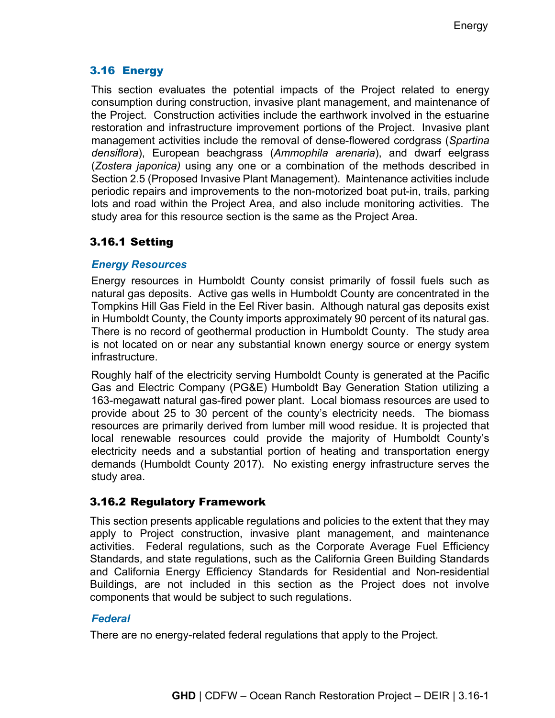# 3.16 Energy

This section evaluates the potential impacts of the Project related to energy consumption during construction, invasive plant management, and maintenance of the Project. Construction activities include the earthwork involved in the estuarine restoration and infrastructure improvement portions of the Project. Invasive plant management activities include the removal of dense-flowered cordgrass (*Spartina densiflora*), European beachgrass (*Ammophila arenaria*), and dwarf eelgrass (*Zostera japonica)* using any one or a combination of the methods described in Section 2.5 (Proposed Invasive Plant Management). Maintenance activities include periodic repairs and improvements to the non-motorized boat put-in, trails, parking lots and road within the Project Area, and also include monitoring activities. The study area for this resource section is the same as the Project Area.

# 3.16.1 Setting

## *Energy Resources*

Energy resources in Humboldt County consist primarily of fossil fuels such as natural gas deposits. Active gas wells in Humboldt County are concentrated in the Tompkins Hill Gas Field in the Eel River basin. Although natural gas deposits exist in Humboldt County, the County imports approximately 90 percent of its natural gas. There is no record of geothermal production in Humboldt County. The study area is not located on or near any substantial known energy source or energy system infrastructure.

Roughly half of the electricity serving Humboldt County is generated at the Pacific Gas and Electric Company (PG&E) Humboldt Bay Generation Station utilizing a 163-megawatt natural gas-fired power plant. Local biomass resources are used to provide about 25 to 30 percent of the county's electricity needs. The biomass resources are primarily derived from lumber mill wood residue. It is projected that local renewable resources could provide the majority of Humboldt County's electricity needs and a substantial portion of heating and transportation energy demands (Humboldt County 2017). No existing energy infrastructure serves the study area.

## 3.16.2 Regulatory Framework

This section presents applicable regulations and policies to the extent that they may apply to Project construction, invasive plant management, and maintenance activities. Federal regulations, such as the Corporate Average Fuel Efficiency Standards, and state regulations, such as the California Green Building Standards and California Energy Efficiency Standards for Residential and Non-residential Buildings, are not included in this section as the Project does not involve components that would be subject to such regulations.

## *Federal*

There are no energy-related federal regulations that apply to the Project.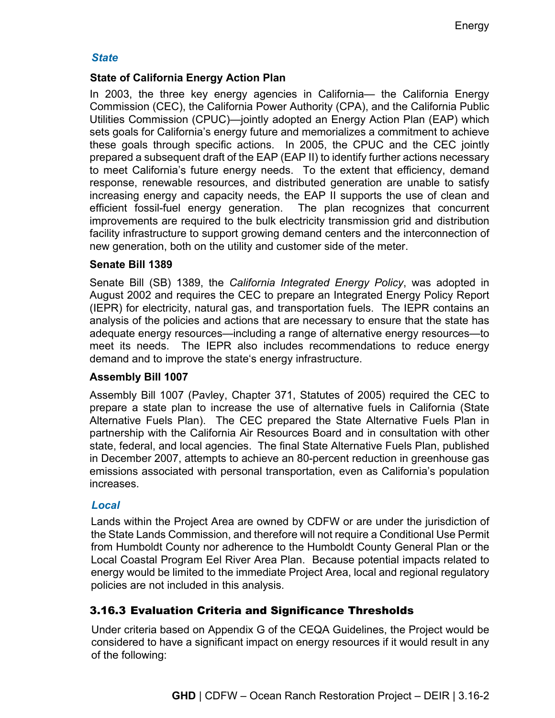#### *State*

#### **State of California Energy Action Plan**

In 2003, the three key energy agencies in California— the California Energy Commission (CEC), the California Power Authority (CPA), and the California Public Utilities Commission (CPUC)—jointly adopted an Energy Action Plan (EAP) which sets goals for California's energy future and memorializes a commitment to achieve these goals through specific actions. In 2005, the CPUC and the CEC jointly prepared a subsequent draft of the EAP (EAP II) to identify further actions necessary to meet California's future energy needs. To the extent that efficiency, demand response, renewable resources, and distributed generation are unable to satisfy increasing energy and capacity needs, the EAP II supports the use of clean and efficient fossil-fuel energy generation. The plan recognizes that concurrent improvements are required to the bulk electricity transmission grid and distribution facility infrastructure to support growing demand centers and the interconnection of new generation, both on the utility and customer side of the meter.

#### **Senate Bill 1389**

Senate Bill (SB) 1389, the *California Integrated Energy Policy*, was adopted in August 2002 and requires the CEC to prepare an Integrated Energy Policy Report (IEPR) for electricity, natural gas, and transportation fuels. The IEPR contains an analysis of the policies and actions that are necessary to ensure that the state has adequate energy resources—including a range of alternative energy resources—to meet its needs. The IEPR also includes recommendations to reduce energy demand and to improve the state's energy infrastructure.

#### **Assembly Bill 1007**

Assembly Bill 1007 (Pavley, Chapter 371, Statutes of 2005) required the CEC to prepare a state plan to increase the use of alternative fuels in California (State Alternative Fuels Plan). The CEC prepared the State Alternative Fuels Plan in partnership with the California Air Resources Board and in consultation with other state, federal, and local agencies. The final State Alternative Fuels Plan, published in December 2007, attempts to achieve an 80-percent reduction in greenhouse gas emissions associated with personal transportation, even as California's population increases.

#### *Local*

Lands within the Project Area are owned by CDFW or are under the jurisdiction of the State Lands Commission, and therefore will not require a Conditional Use Permit from Humboldt County nor adherence to the Humboldt County General Plan or the Local Coastal Program Eel River Area Plan. Because potential impacts related to energy would be limited to the immediate Project Area, local and regional regulatory policies are not included in this analysis.

## 3.16.3 Evaluation Criteria and Significance Thresholds

Under criteria based on Appendix G of the CEQA Guidelines, the Project would be considered to have a significant impact on energy resources if it would result in any of the following: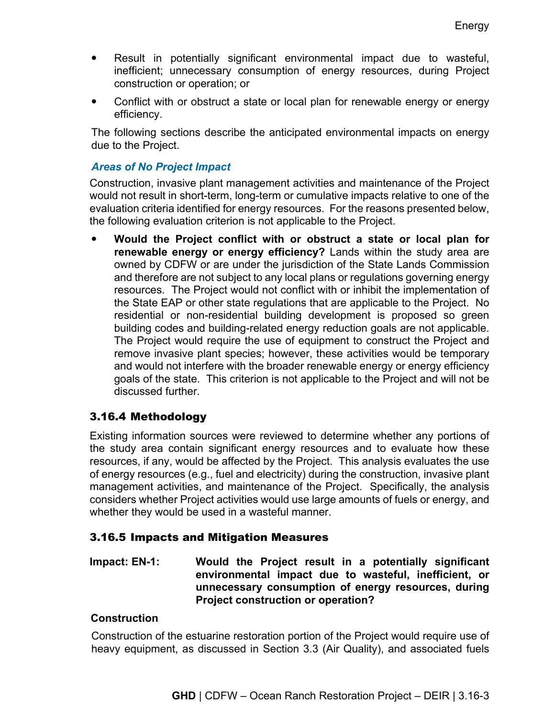- Result in potentially significant environmental impact due to wasteful, inefficient; unnecessary consumption of energy resources, during Project construction or operation; or
- Conflict with or obstruct a state or local plan for renewable energy or energy efficiency.

The following sections describe the anticipated environmental impacts on energy due to the Project.

#### *Areas of No Project Impact*

Construction, invasive plant management activities and maintenance of the Project would not result in short-term, long-term or cumulative impacts relative to one of the evaluation criteria identified for energy resources. For the reasons presented below, the following evaluation criterion is not applicable to the Project.

 **Would the Project conflict with or obstruct a state or local plan for renewable energy or energy efficiency?** Lands within the study area are owned by CDFW or are under the jurisdiction of the State Lands Commission and therefore are not subject to any local plans or regulations governing energy resources. The Project would not conflict with or inhibit the implementation of the State EAP or other state regulations that are applicable to the Project. No residential or non-residential building development is proposed so green building codes and building-related energy reduction goals are not applicable. The Project would require the use of equipment to construct the Project and remove invasive plant species; however, these activities would be temporary and would not interfere with the broader renewable energy or energy efficiency goals of the state. This criterion is not applicable to the Project and will not be discussed further.

## 3.16.4 Methodology

Existing information sources were reviewed to determine whether any portions of the study area contain significant energy resources and to evaluate how these resources, if any, would be affected by the Project. This analysis evaluates the use of energy resources (e.g., fuel and electricity) during the construction, invasive plant management activities, and maintenance of the Project. Specifically, the analysis considers whether Project activities would use large amounts of fuels or energy, and whether they would be used in a wasteful manner.

## 3.16.5 Impacts and Mitigation Measures

**Impact: EN-1: Would the Project result in a potentially significant environmental impact due to wasteful, inefficient, or unnecessary consumption of energy resources, during Project construction or operation?**

## **Construction**

Construction of the estuarine restoration portion of the Project would require use of heavy equipment, as discussed in Section 3.3 (Air Quality), and associated fuels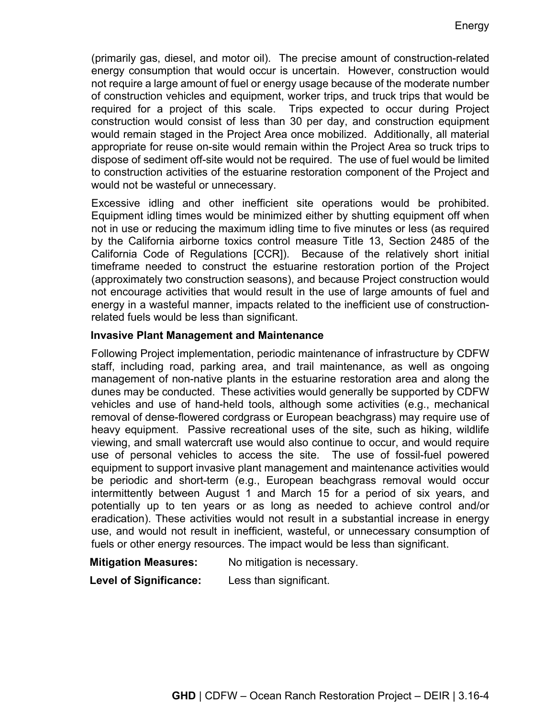(primarily gas, diesel, and motor oil). The precise amount of construction-related energy consumption that would occur is uncertain. However, construction would not require a large amount of fuel or energy usage because of the moderate number of construction vehicles and equipment, worker trips, and truck trips that would be required for a project of this scale. Trips expected to occur during Project construction would consist of less than 30 per day, and construction equipment would remain staged in the Project Area once mobilized. Additionally, all material appropriate for reuse on-site would remain within the Project Area so truck trips to dispose of sediment off-site would not be required. The use of fuel would be limited to construction activities of the estuarine restoration component of the Project and would not be wasteful or unnecessary.

Excessive idling and other inefficient site operations would be prohibited. Equipment idling times would be minimized either by shutting equipment off when not in use or reducing the maximum idling time to five minutes or less (as required by the California airborne toxics control measure Title 13, Section 2485 of the California Code of Regulations [CCR]). Because of the relatively short initial timeframe needed to construct the estuarine restoration portion of the Project (approximately two construction seasons), and because Project construction would not encourage activities that would result in the use of large amounts of fuel and energy in a wasteful manner, impacts related to the inefficient use of constructionrelated fuels would be less than significant.

#### **Invasive Plant Management and Maintenance**

Following Project implementation, periodic maintenance of infrastructure by CDFW staff, including road, parking area, and trail maintenance, as well as ongoing management of non-native plants in the estuarine restoration area and along the dunes may be conducted. These activities would generally be supported by CDFW vehicles and use of hand-held tools, although some activities (e.g., mechanical removal of dense-flowered cordgrass or European beachgrass) may require use of heavy equipment. Passive recreational uses of the site, such as hiking, wildlife viewing, and small watercraft use would also continue to occur, and would require use of personal vehicles to access the site. The use of fossil-fuel powered equipment to support invasive plant management and maintenance activities would be periodic and short-term (e.g., European beachgrass removal would occur intermittently between August 1 and March 15 for a period of six years, and potentially up to ten years or as long as needed to achieve control and/or eradication). These activities would not result in a substantial increase in energy use, and would not result in inefficient, wasteful, or unnecessary consumption of fuels or other energy resources. The impact would be less than significant.

**Mitigation Measures:** No mitigation is necessary.

**Level of Significance:** Less than significant.